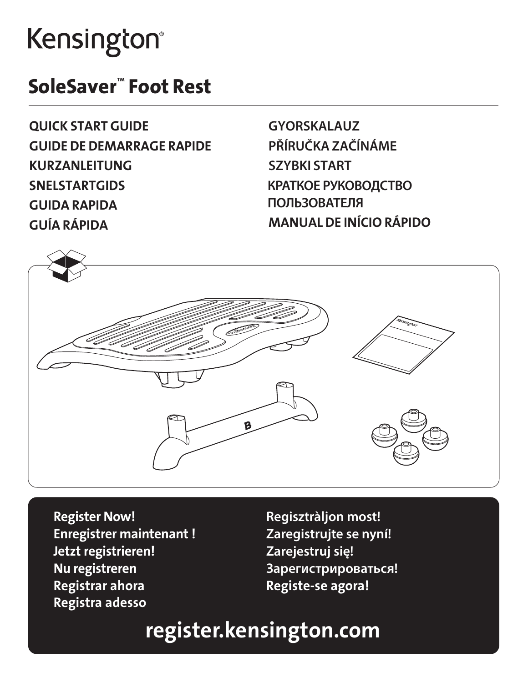## Kensington®

## SoleSaver™ Foot Rest

QUICK START GUIDE GUIDE DE DEMARRAGE RAPIDE KURZANLEITUNG **SNELSTARTGIDS** GUIDA RAPIDA GUÍA RÁPIDA

**GYORSKALAUZ PŘÍRUČKA ZAČÍNÁME SZYBKI START КРАТКОЕ РУКОВОДСТВО ПОЛЬЗОВАТЕЛЯ** MANUAL DE INÍCIO RÁPIDO



Register Now! Enregistrer maintenant ! Jetzt registrieren! Nu registreren Registrar ahora Registra adesso

**Regisztràljon most! Zaregistrujte se nyní! Zarejestruj się! Зарегистрироваться!** Registe-se agora!

## register.kensington.com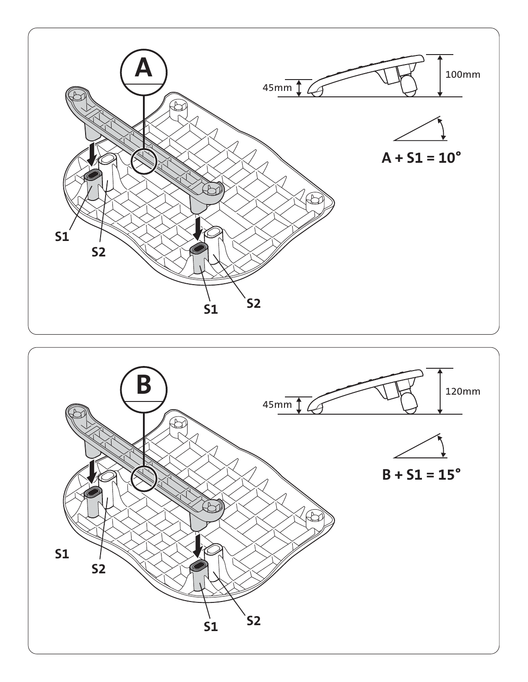

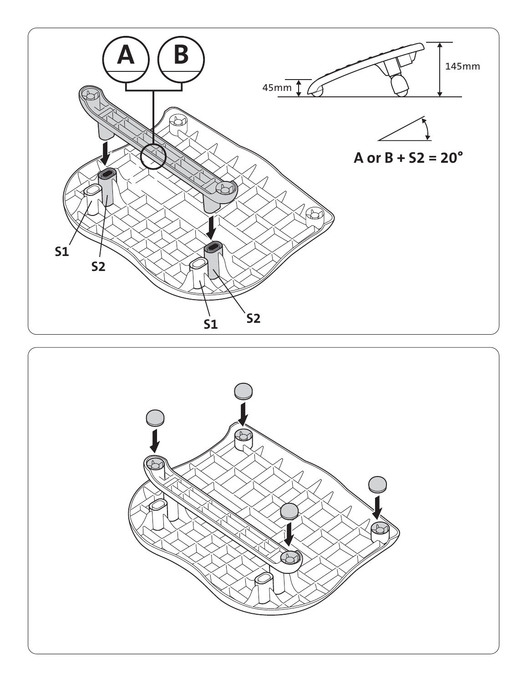